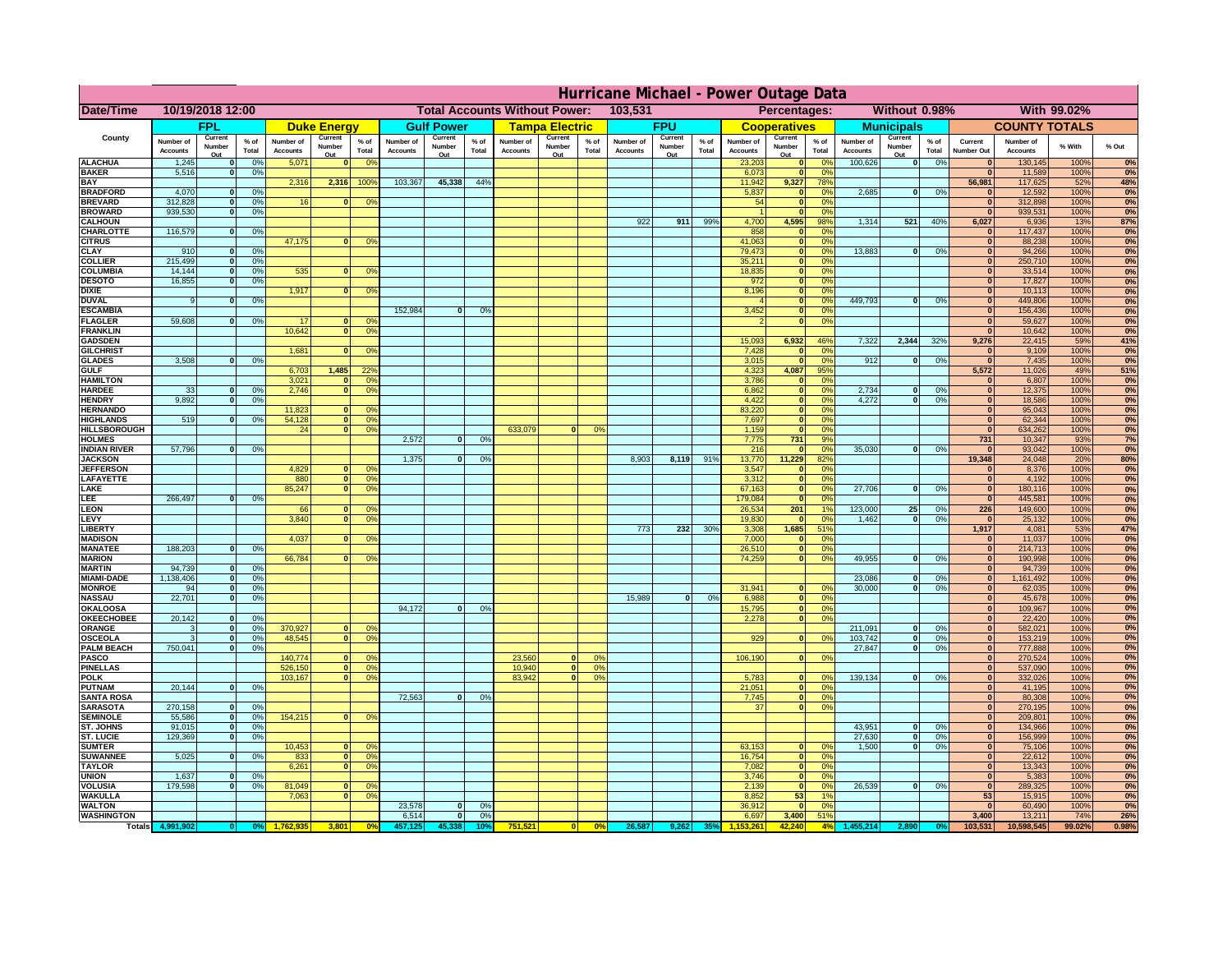|                                      | Hurricane Michael - Power Outage Data |                                  |                      |                              |                              |                                                    |                                                 |                          |                 |                              |                          |                  |                                              |                          |                    |                              |                          |                      |                              |                                |                 |                              |                              |              |           |
|--------------------------------------|---------------------------------------|----------------------------------|----------------------|------------------------------|------------------------------|----------------------------------------------------|-------------------------------------------------|--------------------------|-----------------|------------------------------|--------------------------|------------------|----------------------------------------------|--------------------------|--------------------|------------------------------|--------------------------|----------------------|------------------------------|--------------------------------|-----------------|------------------------------|------------------------------|--------------|-----------|
| Date/Time                            | 10/19/2018 12:00                      |                                  |                      |                              |                              |                                                    | 103,531<br><b>Total Accounts Without Power:</b> |                          |                 |                              |                          |                  | Without 0.98%<br>With 99.02%<br>Percentages: |                          |                    |                              |                          |                      |                              |                                |                 |                              |                              |              |           |
|                                      |                                       | FPL                              |                      |                              | <b>Duke Energy</b>           |                                                    |                                                 | <b>Gulf Power</b>        |                 |                              | <b>Tampa Electric</b>    |                  |                                              | <b>FPU</b>               |                    |                              | <b>Cooperatives</b>      |                      |                              | <b>Municipals</b>              |                 |                              | <b>COUNTY TOTALS</b>         |              |           |
| County                               | Number of<br><b>Accounts</b>          | Current<br>Number<br>Out         | $%$ of<br>Total      | Number of<br><b>Accounts</b> | Current<br>Number<br>Out     | $%$ of<br>Total                                    | Number of<br><b>Accounts</b>                    | Current<br>Number<br>Out | $%$ of<br>Total | Number of<br><b>Accounts</b> | Current<br>Number<br>Out | $%$ of<br>Total  | Number of<br><b>Accounts</b>                 | Current<br>Number<br>Out | $%$ of<br>Total    | Number of<br><b>Accounts</b> | Current<br>Number<br>Out | $%$ of<br>Total      | Number of<br><b>Accounts</b> | Current<br>Number<br>Out       | $%$ of<br>Total | Current<br><b>Number Out</b> | Number of<br><b>Accounts</b> | % With       | % Out     |
| <b>ALACHUA</b>                       | 1,245                                 | $\mathbf{0}$                     | 0%                   | 5,071                        | $\mathbf{0}$                 | 0 <sup>9</sup>                                     |                                                 |                          |                 |                              |                          |                  |                                              |                          |                    | 23,203                       | 0                        | 0 <sup>9</sup>       | 100,626                      | 0                              | 0%              | $\bf{0}$                     | 130,145                      | 100%         | 0%        |
| <b>BAKER</b><br><b>BAY</b>           | 5,516                                 | 0                                | 0%                   | 2,316                        | 2,316                        | 100%                                               | 103,367                                         | 45,338                   | 44%             |                              |                          |                  |                                              |                          |                    | 6,073<br>11,942              | 0 <br>9,327              | 0%<br>78%            |                              |                                |                 | $\mathbf{0}$<br>56,981       | 11,589<br>117,625            | 100%<br>52%  | 0%<br>48% |
| <b>BRADFORD</b>                      | 4,070                                 | $\mathbf{0}$                     | 0%                   |                              |                              |                                                    |                                                 |                          |                 |                              |                          |                  |                                              |                          |                    | 5,837                        | 0                        | 0%                   | 2,685                        | 0                              | 0%              | $\bf{0}$                     | 12,592                       | 100%         | 0%        |
| <b>BREVARD</b>                       | 312,828                               | 0                                | 0%                   | 16                           | $\mathbf{0}$                 | 0 <sup>o</sup>                                     |                                                 |                          |                 |                              |                          |                  |                                              |                          |                    | 54                           | 0                        | 0%                   |                              |                                |                 | 0                            | 312,898                      | 100%         | 0%        |
| <b>BROWARD</b><br><b>CALHOUN</b>     | 939.530                               | 0                                | 0%                   |                              |                              |                                                    |                                                 |                          |                 |                              |                          |                  | 922                                          | 911                      | 99%                | 4,700                        | 0 <br>4,595              | 0%<br>98%            | 1,314                        | 521                            | 40%             | $\bf{0}$<br>6,027            | 939,531<br>6,936             | 100%<br>13%  | 0%<br>87% |
| CHARLOTTE                            | 116,579                               | 0                                | 0%                   |                              |                              |                                                    |                                                 |                          |                 |                              |                          |                  |                                              |                          |                    | 858                          | 0                        | 0 <sup>9</sup>       |                              |                                |                 | $\bf{0}$                     | 117,437                      | 100%         | 0%        |
| <b>CITRUS</b>                        |                                       |                                  |                      | 47,175                       | $\mathbf{0}$                 | 0 <sup>o</sup>                                     |                                                 |                          |                 |                              |                          |                  |                                              |                          |                    | 41,063                       | 0                        | 0 <sup>9</sup>       |                              |                                |                 | $\bf{0}$                     | 88,238                       | 100%         | 0%        |
| <b>CLAY</b>                          | 910<br>215,499                        | $\mathbf{0}$<br>$\mathbf{0}$     | 0%                   |                              |                              |                                                    |                                                 |                          |                 |                              |                          |                  |                                              |                          |                    | 79,473<br>35,211             | 0                        | 0 <sup>9</sup><br>0% | 13,883                       | $\mathbf{0}$                   | 0%              | $\bf{0}$<br>$\bf{0}$         | 94,266                       | 100%<br>100% | 0%        |
| <b>COLLIER</b><br><b>COLUMBIA</b>    | 14,144                                | $\mathbf 0$                      | 0 <sup>9</sup><br>0% | 535                          | $\mathbf{0}$                 | 0 <sup>9</sup>                                     |                                                 |                          |                 |                              |                          |                  |                                              |                          |                    | 18,835                       | 0 <br> 0                 | 0%                   |                              |                                |                 | $\bf{0}$                     | 250,710<br>33,514            | 100%         | 0%<br>0%  |
| <b>DESOTO</b>                        | 16,855                                | $\mathbf{0}$                     | 0%                   |                              |                              |                                                    |                                                 |                          |                 |                              |                          |                  |                                              |                          |                    | 972                          | 0                        | 0%                   |                              |                                |                 | $\bf{0}$                     | 17,827                       | 100%         | 0%        |
| <b>DIXIE</b>                         |                                       |                                  |                      | 1,917                        | $\Omega$                     | 0 <sup>9</sup>                                     |                                                 |                          |                 |                              |                          |                  |                                              |                          |                    | 8,196                        | 0                        | 0%                   |                              |                                |                 | $\Omega$                     | 10,113                       | 100%         | 0%        |
| <b>DUVAL</b><br><b>ESCAMBIA</b>      | 9                                     | $\Omega$                         | 0%                   |                              |                              |                                                    | 152,984                                         | $\mathbf{0}$             | 0 <sup>9</sup>  |                              |                          |                  |                                              |                          |                    | 3,452                        | 0 <br> 0                 | 0%<br>0%             | 449.793                      | $\overline{\mathbf{0}}$        | 0%              | $\Omega$<br>$\Omega$         | 449,806<br>156,436           | 100%<br>100% | 0%<br>0%  |
| <b>FLAGLER</b>                       | 59,608                                | $\overline{0}$                   | 0%                   | 17                           | $\bf{0}$                     | 0 <sup>o</sup>                                     |                                                 |                          |                 |                              |                          |                  |                                              |                          |                    |                              | 0                        | 0%                   |                              |                                |                 | $\mathbf{0}$                 | 59,627                       | 100%         | 0%        |
| <b>FRANKLIN</b>                      |                                       |                                  |                      | 10,642                       | 0                            | 0 <sup>9</sup>                                     |                                                 |                          |                 |                              |                          |                  |                                              |                          |                    |                              |                          |                      |                              |                                |                 | $\Omega$                     | 10,642                       | 100%         | 0%        |
| <b>GADSDEN</b>                       |                                       |                                  |                      | 1,681                        | $\mathbf{0}$                 |                                                    |                                                 |                          |                 |                              |                          |                  |                                              |                          |                    | 15,093                       | 6,932                    | 46%<br>0%            | 7,322                        | 2,344                          | 32%             | 9,276<br>$\mathbf{0}$        | 22,415                       | 59%<br>100%  | 41%       |
| <b>GILCHRIST</b><br><b>GLADES</b>    | 3,508                                 | 0                                | 0%                   |                              |                              | 0 <sup>9</sup>                                     |                                                 |                          |                 |                              |                          |                  |                                              |                          |                    | 7,428<br>3,015               | 0 <br> 0                 | 0%                   | 912                          | $\overline{0}$                 | 0%              | 0                            | 9,109<br>7,435               | 100%         | 0%<br>0%  |
| <b>GULF</b>                          |                                       |                                  |                      | 6,703                        | 1,485                        | 22 <sup>o</sup>                                    |                                                 |                          |                 |                              |                          |                  |                                              |                          |                    | 4,323                        | 4,087                    | 95%                  |                              |                                |                 | 5,572                        | 11,026                       | 49%          | 51%       |
| <b>HAMILTON</b>                      |                                       |                                  |                      | 3,021                        | $\Omega$                     | 0 <sup>9</sup>                                     |                                                 |                          |                 |                              |                          |                  |                                              |                          |                    | 3,786                        | 0                        | 0%                   |                              |                                |                 | 0                            | 6,807                        | 100%         | 0%        |
| <b>HARDEE</b><br><b>HENDRY</b>       | 33<br>9.892                           | $\overline{0}$<br>$\overline{0}$ | 0%<br>0%             | 2.746                        |                              | $\overline{0}$<br>0 <sup>9</sup>                   |                                                 |                          |                 |                              |                          |                  |                                              |                          |                    | 6.862<br>4.422               | $\overline{0}$<br> 0     | 0%<br>0%             | 2.734<br>4.272               | $\mathbf{0}$<br>$\overline{0}$ | 0%<br>0%        | 0 <br> 0                     | 12,375<br>18.586             | 100%<br>100% | 0%<br>0%  |
| <b>HERNANDO</b>                      |                                       |                                  |                      | 11,823                       | $\Omega$                     | 0 <sup>o</sup>                                     |                                                 |                          |                 |                              |                          |                  |                                              |                          |                    | 83,220                       | $\overline{0}$           | 0%                   |                              |                                |                 | 0                            | 95,043                       | 100%         | 0%        |
| <b>HIGHLANDS</b>                     | 519                                   | 0                                | 0 <sup>9</sup>       | 54,128                       | 0                            | 0 <sup>9</sup>                                     |                                                 |                          |                 |                              |                          |                  |                                              |                          |                    | 7,697                        | 0                        | 0%                   |                              |                                |                 | 0                            | 62,344                       | 100%         | 0%        |
| <b>HILLSBOROUGH</b>                  |                                       |                                  |                      | 24                           | $\overline{0}$               | 0 <sup>9</sup>                                     | 2.572                                           | $\Omega$                 |                 | 633,079                      |                          | 0%               |                                              |                          |                    | 1,159                        | 0                        | 0%<br>9%             |                              |                                |                 | 0                            | 634,262                      | 100%         | 0%        |
| <b>HOLMES</b><br><b>INDIAN RIVER</b> | 57,796                                | 0                                | 0%                   |                              |                              |                                                    |                                                 |                          | 0%              |                              |                          |                  |                                              |                          |                    | 7,775<br>216                 | 731<br> 0                | 0%                   | 35,030                       | $\mathbf{0}$                   | 0%              | 731<br>$\mathbf{0}$          | 10,347<br>93,042             | 93%<br>100%  | 7%<br>0%  |
| <b>JACKSON</b>                       |                                       |                                  |                      |                              |                              |                                                    | 1,375                                           | $\mathbf{0}$             | 0%              |                              |                          |                  | 8,903                                        | 8,119                    | 91%                | 13,770                       | 11,229                   | 82%                  |                              |                                |                 | 19,348                       | 24,048                       | 20%          | 80%       |
| <b>JEFFERSOI</b>                     |                                       |                                  |                      | 4,829                        | $\Omega$                     | $^{\circ}$                                         |                                                 |                          |                 |                              |                          |                  |                                              |                          |                    | 3,547                        | 0                        | 0%                   |                              |                                |                 | $\Omega$                     | 8,376                        | 100%         | 0%        |
| <b>LAFAYETTE</b><br>LAKE             |                                       |                                  |                      | 880<br>85,247                |                              | 0 <br>0 <sup>9</sup><br> 0 <br>0 <sup>9</sup>      |                                                 |                          |                 |                              |                          |                  |                                              |                          |                    | 3,312<br>67,163              | 0 <br> 0                 | 0%<br>0%             | 27,706                       | $\overline{0}$                 | 0%              | 0 <br> 0                     | 4,192<br>180,116             | 100%<br>100% | 0%<br>0%  |
| LEE                                  | 266,497                               | $\overline{0}$                   | 0%                   |                              |                              |                                                    |                                                 |                          |                 |                              |                          |                  |                                              |                          |                    | 179,084                      | 0                        | 0%                   |                              |                                |                 | 0                            | 445,581                      | 100%         | 0%        |
| LEON                                 |                                       |                                  |                      | 66                           | $\mathbf{0}$                 | 0 <sup>o</sup>                                     |                                                 |                          |                 |                              |                          |                  |                                              |                          |                    | 26,534                       | 201                      | 1%                   | 123,000                      | 25 <sup>1</sup>                | 0%              | 226                          | 149,600                      | 100%         | 0%        |
| LEVY                                 |                                       |                                  |                      | 3,840                        | $\Omega$                     | 0 <sup>9</sup>                                     |                                                 |                          |                 |                              |                          |                  |                                              |                          |                    | 19,830                       | 0                        | 0 <sup>9</sup>       | 1,462                        | $\overline{\mathbf{0}}$        | 0%              | 0                            | 25,132                       | 100%         | 0%        |
| LIBERTY<br><b>MADISON</b>            |                                       |                                  |                      | 4,037                        | $\Omega$                     | 0 <sup>9</sup>                                     |                                                 |                          |                 |                              |                          |                  | 773                                          | 232                      | 30%                | 3,308<br>7,000               | 1,685<br> 0              | 51%<br>0%            |                              |                                |                 | 1,917<br> 0                  | 4,081<br>11,037              | 53%<br>100%  | 47%<br>0% |
| <b>MANATEE</b>                       | 188,203                               | 0                                | 0%                   |                              |                              |                                                    |                                                 |                          |                 |                              |                          |                  |                                              |                          |                    | 26,510                       | 0                        | 0%                   |                              |                                |                 | 0                            | 214,713                      | 100%         | 0%        |
| <b>MARION</b>                        |                                       |                                  |                      | 66,784                       | $\Omega$                     | 0 <sup>9</sup>                                     |                                                 |                          |                 |                              |                          |                  |                                              |                          |                    | 74,259                       | 0                        | 0%                   | 49,955                       | nl                             | 0%              | 0                            | 190,998                      | 100%         | 0%        |
| <b>MARTIN</b><br><b>MIAMI-DADE</b>   | 94,739<br>1,138,406                   | 0 <br> 0                         | 0%<br>0%             |                              |                              |                                                    |                                                 |                          |                 |                              |                          |                  |                                              |                          |                    |                              |                          |                      | 23,086                       | $\mathbf{0}$                   | 0%              | 0 <br> 0                     | 94,739<br>1,161,492          | 100%<br>100% | 0%<br>0%  |
| <b>MONROE</b>                        | 94                                    | 0                                | 0%                   |                              |                              |                                                    |                                                 |                          |                 |                              |                          |                  |                                              |                          |                    | 31,941                       | $\overline{0}$           | 0 <sup>9</sup>       | 30,000                       | 0                              | 0%              | 0                            | 62,035                       | 100%         | 0%        |
| <b>NASSAU</b>                        | 22,701                                | 0                                | 0%                   |                              |                              |                                                    |                                                 |                          |                 |                              |                          |                  | 15,989                                       | 0                        | 0%                 | 6,988                        | 0                        | 0%                   |                              |                                |                 | 0                            | 45,678                       | 100%         | 0%        |
| <b>OKALOOSA</b>                      |                                       |                                  |                      |                              |                              |                                                    | 94,172                                          | $\mathbf{0}$             | 0%              |                              |                          |                  |                                              |                          |                    | 15,795                       | 0                        | 0%                   |                              |                                |                 | 0                            | 109,967                      | 100%         | 0%<br>0%  |
| <b>OKEECHOBEE</b><br>ORANGE          | 20,142<br>3                           | 0 <br> 0                         | 0%<br>0%             | 370,927                      |                              | 0 <br>0 <sup>o</sup>                               |                                                 |                          |                 |                              |                          |                  |                                              |                          |                    | 2,278                        |                          | 0 <br>0%             | 211,091                      | $\overline{\mathbf{0}}$        | 0%              | 0 <br> 0                     | 22,420<br>582,021            | 100%<br>100% | 0%        |
| <b>OSCEOLA</b>                       | 3                                     | 0                                | 0%                   | 48,545                       |                              | 0 <sup>9</sup><br> 0                               |                                                 |                          |                 |                              |                          |                  |                                              |                          |                    | 929                          |                          | 0 <br>0%             | 103,742                      | 0                              | 0%              | 0                            | 153,219                      | 100%         | 0%        |
| <b>PALM BEACH</b>                    | 750,041                               |                                  | 0%<br> 0             |                              |                              |                                                    |                                                 |                          |                 |                              |                          |                  |                                              |                          |                    |                              |                          |                      | 27,847                       | $\overline{\mathbf{0}}$        | 0%              | 0                            | 777,888                      | 100%         | 0%        |
| PASCO<br><b>PINELLAS</b>             |                                       |                                  |                      | 140,774<br>526,150           | $\Omega$                     | $^{\circ}$<br>0 <sup>9</sup><br> 0                 |                                                 |                          |                 | 23,560<br>10,940             | $\Omega$<br> 0           | $^{\circ}$<br>0% |                                              |                          |                    | 106,190                      |                          | 0 <br>0%             |                              |                                |                 | 0 <br>$\Omega$               | 270,524<br>537,090           | 100%<br>100% | 0%<br>0%  |
| <b>POLK</b>                          |                                       |                                  |                      | 103,167                      |                              | 0 <sup>9</sup><br> 0                               |                                                 |                          |                 | 83,942                       | $\mathbf{a}$             | 0%               |                                              |                          |                    | 5,783                        | 0                        | $\Omega$             | 139,134                      | 0                              | 0%              | 0                            | 332,026                      | 100%         | 0%        |
| <b>PUTNAM</b>                        | 20,144                                | 0                                | 0%                   |                              |                              |                                                    |                                                 |                          |                 |                              |                          |                  |                                              |                          |                    | 21,051                       | $\ddot{\text{o}}$        | 0%                   |                              |                                |                 | $\bf{0}$                     | 41,195                       | 100%         | 0%        |
| <b>SANTA ROSA</b><br><b>SARASOTA</b> | 270,158                               | 0                                | 0%                   |                              |                              |                                                    | 72,563                                          | 0                        | 0%              |                              |                          |                  |                                              |                          |                    | 7,745<br>37                  | 0                        | 0%<br> 0 <br>0%      |                              |                                |                 | $\mathbf{0}$<br>$\mathbf{0}$ | 80,308                       | 100%<br>100% | 0%<br>0%  |
| <b>SEMINOLE</b>                      | 55,586                                | 0                                | 0%                   | 154,215                      |                              | $\mathbf{0}$<br>0 <sup>9</sup>                     |                                                 |                          |                 |                              |                          |                  |                                              |                          |                    |                              |                          |                      |                              |                                |                 | $\mathbf{0}$                 | 270,195<br>209,801           | 100%         | 0%        |
| <b>ST. JOHNS</b>                     | 91,015                                | 0                                | 0%                   |                              |                              |                                                    |                                                 |                          |                 |                              |                          |                  |                                              |                          |                    |                              |                          |                      | 43,951                       | -ol                            | 0%              | 0                            | 134,966                      | 100%         | 0%        |
| <b>ST. LUCIE</b>                     | 129.369                               | $\mathbf{0}$                     | 0%                   |                              |                              |                                                    |                                                 |                          |                 |                              |                          |                  |                                              |                          |                    |                              |                          |                      | 27.630                       | - O I                          | 0%              | 0                            | 156,999                      | 100%         | 0%        |
| <b>SUMTER</b><br><b>SUWANNEE</b>     | 5,025                                 | 0                                | 0%                   | 10,453<br>833                | 0                            | $\overline{0}$<br>0 <sup>9</sup><br>0 <sup>o</sup> |                                                 |                          |                 |                              |                          |                  |                                              |                          |                    | 63,153<br>16,754             | 0 <br> 0                 | 0%<br>0%             | 1.500                        | 0                              | 0%              | 0 <br>$\mathbf{0}$           | 75,106<br>22,612             | 100%<br>100% | 0%<br>0%  |
| <b>TAYLOR</b>                        |                                       |                                  |                      | 6,261                        | 0                            | 0 <sup>9</sup>                                     |                                                 |                          |                 |                              |                          |                  |                                              |                          |                    | 7,082                        | 0                        | 0%                   |                              |                                |                 | $\bf{0}$                     | 13,343                       | 100%         | 0%        |
| <b>UNION</b>                         | 1,637                                 | $\mathbf{0}$                     | 0%                   |                              |                              |                                                    |                                                 |                          |                 |                              |                          |                  |                                              |                          |                    | 3,746                        | 0                        | 0%                   |                              |                                |                 | $\bf{0}$                     | 5,383                        | 100%         | 0%        |
| <b>VOLUSIA</b>                       | 179,598                               | 0                                | 0%                   | 81,049                       | $\mathbf{0}$<br>$\mathbf{0}$ | $\mathbf{0}$                                       |                                                 |                          |                 |                              |                          |                  |                                              |                          |                    | 2,139                        | 0                        | 0%<br>1%             | 26,539                       | 0                              | 0%              | $\mathbf{0}$                 | 289,325                      | 100%         | 0%        |
| <b>WAKULLA</b><br><b>WALTON</b>      |                                       |                                  |                      | 7,063                        |                              | 0 <sup>9</sup>                                     | 23,578                                          | $\mathbf{0}$             | 0%              |                              |                          |                  |                                              |                          |                    | 8,852<br>36,912              | 53<br> 0                 | 0%                   |                              |                                |                 | 53<br>$\mathbf{0}$           | 15,915<br>60,490             | 100%<br>100% | 0%<br>0%  |
| <b>WASHINGTON</b>                    |                                       |                                  |                      |                              |                              |                                                    | 6,514                                           | 0                        | 0%              |                              |                          |                  |                                              |                          |                    | 6,697                        | 3,400                    | 51%                  |                              |                                |                 | 3,400                        | 13,211                       | 74%          | 26%       |
| <b>Totals</b>                        |                                       |                                  |                      |                              | 3,801                        | 0 <sup>6</sup>                                     |                                                 | 45.338                   | 10°             | 751,521                      | 0                        | 0%               | 26,587                                       |                          | 35% <mark> </mark> |                              | 42.240                   | 4%                   | 155,214                      |                                |                 | 103,531                      | 10,598,545                   | 99.02%       | 0.98%     |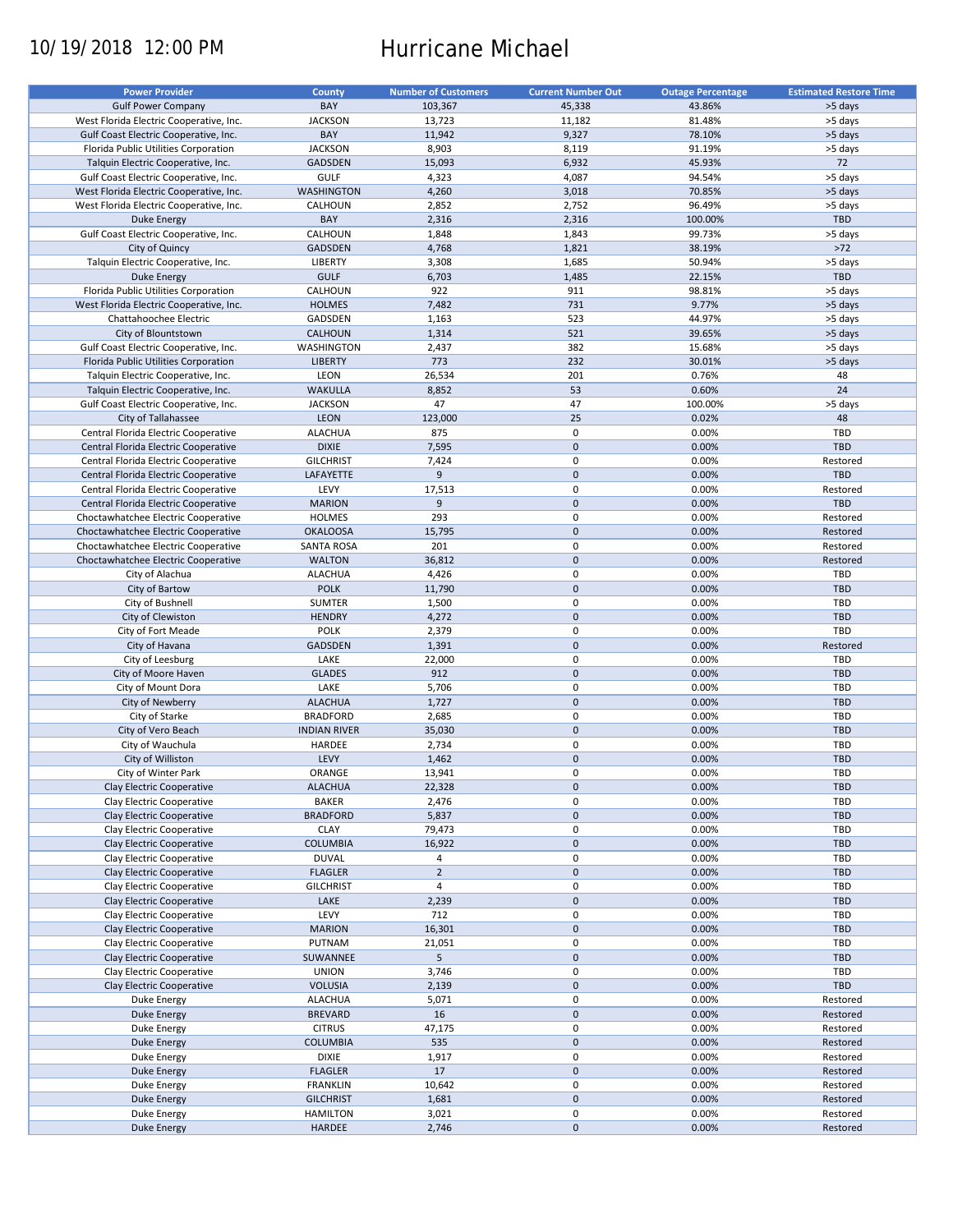# 10/19/2018 12:00 PM Hurricane Michael

| <b>Power Provider</b>                   | <b>County</b>       | <b>Number of Customers</b> | <b>Current Number Out</b> | <b>Outage Percentage</b> | <b>Estimated Restore Time</b> |
|-----------------------------------------|---------------------|----------------------------|---------------------------|--------------------------|-------------------------------|
| <b>Gulf Power Company</b>               | BAY                 | 103,367                    | 45,338                    | 43.86%                   | >5 days                       |
| West Florida Electric Cooperative, Inc. | <b>JACKSON</b>      | 13,723                     | 11,182                    | 81.48%                   | >5 days                       |
| Gulf Coast Electric Cooperative, Inc.   | BAY                 | 11,942                     | 9,327                     | 78.10%                   | >5 days                       |
| Florida Public Utilities Corporation    | <b>JACKSON</b>      | 8,903                      | 8,119                     | 91.19%                   | >5 days                       |
| Talquin Electric Cooperative, Inc.      | <b>GADSDEN</b>      | 15,093                     | 6,932                     | 45.93%                   | 72                            |
| Gulf Coast Electric Cooperative, Inc.   | <b>GULF</b>         | 4,323                      | 4,087                     | 94.54%                   | >5 days                       |
| West Florida Electric Cooperative, Inc. |                     |                            |                           |                          |                               |
|                                         | <b>WASHINGTON</b>   | 4,260                      | 3,018                     | 70.85%                   | >5 days                       |
| West Florida Electric Cooperative, Inc. | CALHOUN             | 2,852                      | 2,752                     | 96.49%                   | >5 days                       |
| <b>Duke Energy</b>                      | BAY                 | 2,316                      | 2,316                     | 100.00%                  | <b>TBD</b>                    |
| Gulf Coast Electric Cooperative, Inc.   | CALHOUN             | 1,848                      | 1,843                     | 99.73%                   | >5 days                       |
| City of Quincy                          | <b>GADSDEN</b>      | 4,768                      | 1,821                     | 38.19%                   | $>72$                         |
| Talquin Electric Cooperative, Inc.      | LIBERTY             | 3,308                      | 1,685                     | 50.94%                   | >5 days                       |
| <b>Duke Energy</b>                      | <b>GULF</b>         | 6,703                      | 1,485                     | 22.15%                   | <b>TBD</b>                    |
| Florida Public Utilities Corporation    | CALHOUN             | 922                        | 911                       | 98.81%                   | >5 days                       |
| West Florida Electric Cooperative, Inc. | <b>HOLMES</b>       | 7,482                      | 731                       | 9.77%                    | >5 days                       |
| Chattahoochee Electric                  | GADSDEN             | 1,163                      | 523                       | 44.97%                   | >5 days                       |
| City of Blountstown                     | <b>CALHOUN</b>      | 1,314                      | 521                       | 39.65%                   | >5 days                       |
| Gulf Coast Electric Cooperative, Inc.   | WASHINGTON          | 2,437                      | 382                       | 15.68%                   | >5 days                       |
| Florida Public Utilities Corporation    | <b>LIBERTY</b>      | 773                        | 232                       | 30.01%                   | >5 days                       |
| Talquin Electric Cooperative, Inc.      | LEON                | 26,534                     | 201                       | 0.76%                    | 48                            |
| Talquin Electric Cooperative, Inc.      | <b>WAKULLA</b>      | 8,852                      | 53                        | 0.60%                    | 24                            |
| Gulf Coast Electric Cooperative, Inc.   | <b>JACKSON</b>      | 47                         | 47                        | 100.00%                  | >5 days                       |
| City of Tallahassee                     | LEON                | 123,000                    | 25                        | 0.02%                    | 48                            |
| Central Florida Electric Cooperative    | <b>ALACHUA</b>      | 875                        | 0                         | 0.00%                    | TBD                           |
| Central Florida Electric Cooperative    | <b>DIXIE</b>        | 7,595                      | $\mathbf 0$               | 0.00%                    | <b>TBD</b>                    |
| Central Florida Electric Cooperative    | <b>GILCHRIST</b>    | 7,424                      | 0                         | 0.00%                    | Restored                      |
| Central Florida Electric Cooperative    | LAFAYETTE           | 9                          | $\mathbf 0$               | 0.00%                    | <b>TBD</b>                    |
| Central Florida Electric Cooperative    | LEVY                | 17,513                     | 0                         | 0.00%                    | Restored                      |
| Central Florida Electric Cooperative    | <b>MARION</b>       | 9                          | $\mathbf 0$               | 0.00%                    | <b>TBD</b>                    |
|                                         |                     |                            |                           |                          |                               |
| Choctawhatchee Electric Cooperative     | <b>HOLMES</b>       | 293                        | 0                         | 0.00%                    | Restored                      |
| Choctawhatchee Electric Cooperative     | <b>OKALOOSA</b>     | 15,795                     | $\mathbf 0$               | 0.00%                    | Restored                      |
| Choctawhatchee Electric Cooperative     | <b>SANTA ROSA</b>   | 201                        | $\mathbf 0$               | 0.00%                    | Restored                      |
| Choctawhatchee Electric Cooperative     | <b>WALTON</b>       | 36,812                     | $\mathbf 0$               | 0.00%                    | Restored                      |
| City of Alachua                         | <b>ALACHUA</b>      | 4,426                      | $\mathbf 0$               | 0.00%                    | TBD                           |
| City of Bartow                          | <b>POLK</b>         | 11,790                     | $\mathbf 0$               | 0.00%                    | <b>TBD</b>                    |
| City of Bushnell                        | <b>SUMTER</b>       | 1,500                      | $\pmb{0}$                 | 0.00%                    | TBD                           |
| City of Clewiston                       | <b>HENDRY</b>       | 4,272                      | $\mathbf 0$               | 0.00%                    | TBD                           |
| City of Fort Meade                      | <b>POLK</b>         | 2,379                      | 0                         | 0.00%                    | <b>TBD</b>                    |
| City of Havana                          | <b>GADSDEN</b>      | 1,391                      | $\mathbf 0$               | 0.00%                    | Restored                      |
| City of Leesburg                        | LAKE                | 22,000                     | 0                         | 0.00%                    | <b>TBD</b>                    |
| City of Moore Haven                     | <b>GLADES</b>       | 912                        | $\mathbf 0$               | 0.00%                    | <b>TBD</b>                    |
| City of Mount Dora                      | LAKE                | 5,706                      | 0                         | 0.00%                    | <b>TBD</b>                    |
| City of Newberry                        | <b>ALACHUA</b>      | 1,727                      | $\mathbf 0$               | 0.00%                    | <b>TBD</b>                    |
| City of Starke                          | <b>BRADFORD</b>     | 2,685                      | 0                         | 0.00%                    | <b>TBD</b>                    |
| City of Vero Beach                      | <b>INDIAN RIVER</b> | 35,030                     | $\mathbf 0$               | 0.00%                    | <b>TBD</b>                    |
| City of Wauchula                        | HARDEE              | 2,734                      | 0                         | 0.00%                    | <b>TBD</b>                    |
| City of Williston                       | LEVY                | 1,462                      | $\mathbf 0$               | 0.00%                    | <b>TBD</b>                    |
| City of Winter Park                     | ORANGE              | 13,941                     | $\Omega$                  | 0.00%                    | TBD                           |
| Clay Electric Cooperative               | <b>ALACHUA</b>      | 22,328                     | $\mathbf 0$               | 0.00%                    | TBD                           |
| Clay Electric Cooperative               | <b>BAKER</b>        |                            | 0                         | 0.00%                    | TBD                           |
|                                         |                     | 2,476                      |                           |                          |                               |
| Clay Electric Cooperative               | <b>BRADFORD</b>     | 5,837                      | $\mathbf 0$               | 0.00%                    | TBD                           |
| Clay Electric Cooperative               | <b>CLAY</b>         | 79,473                     | 0                         | 0.00%                    | TBD                           |
| Clay Electric Cooperative               | COLUMBIA            | 16,922                     | $\pmb{0}$                 | 0.00%                    | TBD                           |
| Clay Electric Cooperative               | <b>DUVAL</b>        | 4                          | 0                         | 0.00%                    | TBD                           |
| Clay Electric Cooperative               | <b>FLAGLER</b>      | $\overline{2}$             | $\pmb{0}$                 | 0.00%                    | TBD                           |
| Clay Electric Cooperative               | <b>GILCHRIST</b>    | $\overline{4}$             | 0                         | 0.00%                    | TBD                           |
| Clay Electric Cooperative               | LAKE                | 2,239                      | $\mathbf 0$               | 0.00%                    | TBD                           |
| Clay Electric Cooperative               | LEVY                | 712                        | 0                         | 0.00%                    | TBD                           |
| Clay Electric Cooperative               | <b>MARION</b>       | 16,301                     | $\pmb{0}$                 | 0.00%                    | TBD                           |
| Clay Electric Cooperative               | PUTNAM              | 21,051                     | $\pmb{0}$                 | 0.00%                    | TBD                           |
| Clay Electric Cooperative               | SUWANNEE            | 5 <sup>5</sup>             | $\pmb{0}$                 | 0.00%                    | TBD                           |
| Clay Electric Cooperative               | <b>UNION</b>        | 3,746                      | $\pmb{0}$                 | 0.00%                    | TBD                           |
| Clay Electric Cooperative               | <b>VOLUSIA</b>      | 2,139                      | $\pmb{0}$                 | 0.00%                    | <b>TBD</b>                    |
| Duke Energy                             | <b>ALACHUA</b>      | 5,071                      | 0                         | 0.00%                    | Restored                      |
| <b>Duke Energy</b>                      | <b>BREVARD</b>      | 16                         | $\pmb{0}$                 | 0.00%                    | Restored                      |
| Duke Energy                             | <b>CITRUS</b>       | 47,175                     | 0                         | 0.00%                    | Restored                      |
| Duke Energy                             | COLUMBIA            | 535                        | $\pmb{0}$                 | 0.00%                    | Restored                      |
| Duke Energy                             | <b>DIXIE</b>        | 1,917                      | 0                         | 0.00%                    | Restored                      |
| Duke Energy                             | <b>FLAGLER</b>      | 17                         | $\mathbf 0$               | 0.00%                    | Restored                      |
| Duke Energy                             | <b>FRANKLIN</b>     | 10,642                     | 0                         | 0.00%                    | Restored                      |
| <b>Duke Energy</b>                      | <b>GILCHRIST</b>    | 1,681                      | $\pmb{0}$                 | 0.00%                    | Restored                      |
| Duke Energy                             | <b>HAMILTON</b>     | 3,021                      | $\pmb{0}$                 | 0.00%                    | Restored                      |
|                                         |                     | 2,746                      | $\pmb{0}$                 | 0.00%                    |                               |
| <b>Duke Energy</b>                      | HARDEE              |                            |                           |                          | Restored                      |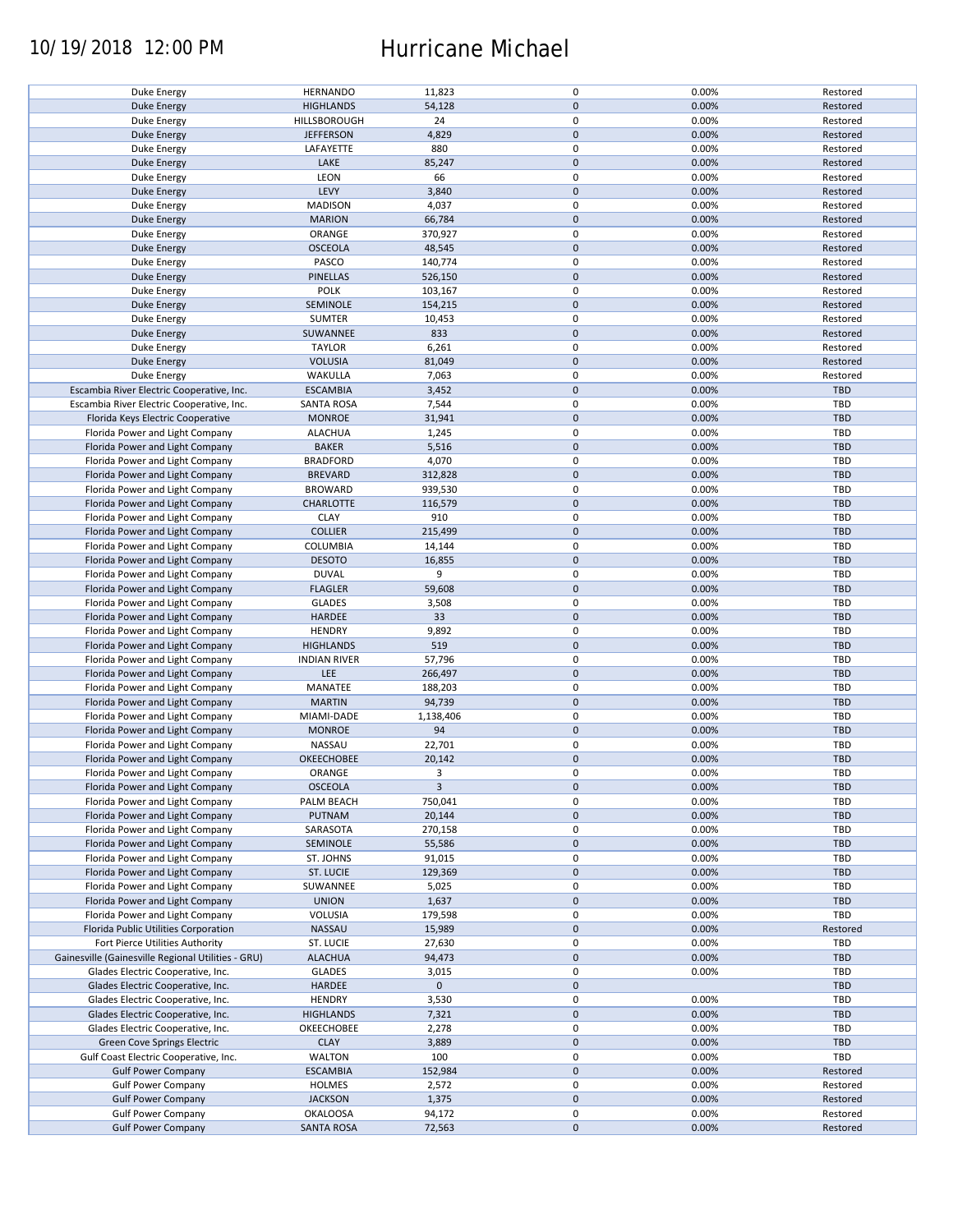### 10/19/2018 12:00 PM Hurricane Michael

| Duke Energy                                        | <b>HERNANDO</b>     | 11,823         | $\mathbf 0$ | 0.00% | Restored   |
|----------------------------------------------------|---------------------|----------------|-------------|-------|------------|
| <b>Duke Energy</b>                                 | <b>HIGHLANDS</b>    | 54,128         | $\mathbf 0$ | 0.00% | Restored   |
|                                                    | HILLSBOROUGH        | 24             | 0           |       |            |
| Duke Energy                                        |                     |                |             | 0.00% | Restored   |
| <b>Duke Energy</b>                                 | <b>JEFFERSON</b>    | 4,829          | $\mathbf 0$ | 0.00% | Restored   |
| Duke Energy                                        | LAFAYETTE           | 880            | 0           | 0.00% | Restored   |
| <b>Duke Energy</b>                                 | LAKE                | 85,247         | $\mathbf 0$ | 0.00% | Restored   |
|                                                    |                     |                |             |       |            |
| Duke Energy                                        | LEON                | 66             | 0           | 0.00% | Restored   |
| <b>Duke Energy</b>                                 | LEVY                | 3,840          | $\mathbf 0$ | 0.00% | Restored   |
|                                                    |                     | 4,037          | $\mathbf 0$ | 0.00% | Restored   |
| Duke Energy                                        | <b>MADISON</b>      |                |             |       |            |
| Duke Energy                                        | <b>MARION</b>       | 66,784         | $\mathbf 0$ | 0.00% | Restored   |
| Duke Energy                                        | ORANGE              | 370,927        | $\mathbf 0$ | 0.00% | Restored   |
|                                                    |                     |                | $\pmb{0}$   |       |            |
| Duke Energy                                        | <b>OSCEOLA</b>      | 48,545         |             | 0.00% | Restored   |
| Duke Energy                                        | PASCO               | 140,774        | $\mathbf 0$ | 0.00% | Restored   |
| <b>Duke Energy</b>                                 | PINELLAS            | 526,150        | $\mathbf 0$ | 0.00% | Restored   |
|                                                    |                     |                | $\mathbf 0$ |       |            |
| Duke Energy                                        | <b>POLK</b>         | 103,167        |             | 0.00% | Restored   |
| <b>Duke Energy</b>                                 | SEMINOLE            | 154,215        | $\mathbf 0$ | 0.00% | Restored   |
| Duke Energy                                        | <b>SUMTER</b>       | 10,453         | $\pmb{0}$   | 0.00% | Restored   |
|                                                    |                     |                | $\mathbf 0$ |       |            |
| <b>Duke Energy</b>                                 | SUWANNEE            | 833            |             | 0.00% | Restored   |
| Duke Energy                                        | <b>TAYLOR</b>       | 6,261          | $\pmb{0}$   | 0.00% | Restored   |
| <b>Duke Energy</b>                                 | <b>VOLUSIA</b>      | 81,049         | $\mathbf 0$ | 0.00% | Restored   |
|                                                    |                     |                |             |       |            |
| Duke Energy                                        | WAKULLA             | 7,063          | $\pmb{0}$   | 0.00% | Restored   |
| Escambia River Electric Cooperative, Inc.          | <b>ESCAMBIA</b>     | 3,452          | $\pmb{0}$   | 0.00% | TBD        |
| Escambia River Electric Cooperative, Inc.          | <b>SANTA ROSA</b>   | 7,544          | 0           | 0.00% | <b>TBD</b> |
|                                                    |                     |                |             |       |            |
| Florida Keys Electric Cooperative                  | <b>MONROE</b>       | 31,941         | $\mathbf 0$ | 0.00% | TBD        |
| Florida Power and Light Company                    | <b>ALACHUA</b>      | 1,245          | 0           | 0.00% | TBD        |
|                                                    |                     |                |             |       | <b>TBD</b> |
| Florida Power and Light Company                    | <b>BAKER</b>        | 5,516          | $\pmb{0}$   | 0.00% |            |
| Florida Power and Light Company                    | <b>BRADFORD</b>     | 4,070          | $\mathbf 0$ | 0.00% | TBD        |
| Florida Power and Light Company                    | <b>BREVARD</b>      | 312,828        | $\pmb{0}$   | 0.00% | <b>TBD</b> |
|                                                    |                     |                |             |       |            |
| Florida Power and Light Company                    | <b>BROWARD</b>      | 939,530        | $\pmb{0}$   | 0.00% | TBD        |
| Florida Power and Light Company                    | <b>CHARLOTTE</b>    | 116,579        | $\mathbf 0$ | 0.00% | <b>TBD</b> |
| Florida Power and Light Company                    | <b>CLAY</b>         | 910            | 0           | 0.00% | TBD        |
|                                                    |                     |                |             |       |            |
| Florida Power and Light Company                    | <b>COLLIER</b>      | 215,499        | $\mathbf 0$ | 0.00% | <b>TBD</b> |
| Florida Power and Light Company                    | COLUMBIA            | 14,144         | $\pmb{0}$   | 0.00% | TBD        |
| Florida Power and Light Company                    | <b>DESOTO</b>       | 16,855         | $\pmb{0}$   | 0.00% | <b>TBD</b> |
|                                                    |                     |                |             |       |            |
| Florida Power and Light Company                    | <b>DUVAL</b>        | 9              | $\pmb{0}$   | 0.00% | TBD        |
| Florida Power and Light Company                    | <b>FLAGLER</b>      | 59,608         | $\pmb{0}$   | 0.00% | <b>TBD</b> |
|                                                    |                     |                |             |       |            |
| Florida Power and Light Company                    | <b>GLADES</b>       | 3,508          | $\pmb{0}$   | 0.00% | TBD        |
| Florida Power and Light Company                    | HARDEE              | 33             | $\mathbf 0$ | 0.00% | <b>TBD</b> |
| Florida Power and Light Company                    | <b>HENDRY</b>       | 9,892          | $\pmb{0}$   | 0.00% | TBD        |
|                                                    |                     |                |             |       |            |
| Florida Power and Light Company                    | <b>HIGHLANDS</b>    | 519            | $\pmb{0}$   | 0.00% | <b>TBD</b> |
| Florida Power and Light Company                    | <b>INDIAN RIVER</b> | 57,796         | $\pmb{0}$   | 0.00% | TBD        |
|                                                    | LEE                 | 266,497        | $\mathbf 0$ | 0.00% | <b>TBD</b> |
| Florida Power and Light Company                    |                     |                |             |       |            |
| Florida Power and Light Company                    | MANATEE             | 188,203        | 0           | 0.00% | <b>TBD</b> |
| Florida Power and Light Company                    | <b>MARTIN</b>       | 94,739         | $\mathbf 0$ | 0.00% | <b>TBD</b> |
|                                                    |                     |                |             |       |            |
| Florida Power and Light Company                    | MIAMI-DADE          | 1,138,406      | $\mathbf 0$ | 0.00% | <b>TBD</b> |
| Florida Power and Light Company                    | <b>MONROE</b>       | 94             | $\mathbf 0$ | 0.00% | <b>TBD</b> |
| Florida Power and Light Company                    | NASSAU              | 22,701         | 0           | 0.00% | <b>TBD</b> |
|                                                    |                     |                |             |       |            |
| Florida Power and Light Company                    | OKEECHOBEE          | 20,142         | $\mathbf 0$ | 0.00% | <b>TBD</b> |
| Florida Power and Light Company                    | ORANGE              | 3              | $\mathbf 0$ | 0.00% | TBD        |
| Florida Power and Light Company                    | <b>OSCEOLA</b>      | $\overline{3}$ | $\pmb{0}$   | 0.00% | <b>TBD</b> |
|                                                    |                     |                |             |       |            |
| Florida Power and Light Company                    | PALM BEACH          | 750,041        | 0           | 0.00% | TBD        |
| Florida Power and Light Company                    | PUTNAM              | 20,144         | $\pmb{0}$   | 0.00% | TBD        |
|                                                    |                     |                | 0           |       |            |
| Florida Power and Light Company                    | SARASOTA            | 270,158        |             | 0.00% | TBD        |
| Florida Power and Light Company                    | SEMINOLE            | 55,586         | $\mathbf 0$ | 0.00% | <b>TBD</b> |
| Florida Power and Light Company                    | ST. JOHNS           | 91,015         | 0           | 0.00% | TBD        |
|                                                    |                     |                |             |       |            |
| Florida Power and Light Company                    | ST. LUCIE           | 129,369        | $\mathbf 0$ | 0.00% | <b>TBD</b> |
| Florida Power and Light Company                    | SUWANNEE            | 5,025          | 0           | 0.00% | TBD        |
| Florida Power and Light Company                    | <b>UNION</b>        | 1,637          | $\pmb{0}$   | 0.00% | <b>TBD</b> |
|                                                    |                     |                |             |       |            |
| Florida Power and Light Company                    | VOLUSIA             | 179,598        | 0           | 0.00% | TBD        |
| Florida Public Utilities Corporation               | NASSAU              | 15,989         | $\pmb{0}$   | 0.00% | Restored   |
|                                                    |                     |                |             |       | TBD        |
| Fort Pierce Utilities Authority                    | ST. LUCIE           | 27,630         | 0           | 0.00% |            |
| Gainesville (Gainesville Regional Utilities - GRU) | <b>ALACHUA</b>      | 94,473         | $\pmb{0}$   | 0.00% | <b>TBD</b> |
| Glades Electric Cooperative, Inc.                  | <b>GLADES</b>       | 3,015          | $\pmb{0}$   | 0.00% | TBD        |
|                                                    |                     |                |             |       |            |
| Glades Electric Cooperative, Inc.                  | <b>HARDEE</b>       | $\mathbf 0$    | $\pmb{0}$   |       | TBD        |
| Glades Electric Cooperative, Inc.                  | <b>HENDRY</b>       | 3,530          | $\pmb{0}$   | 0.00% | TBD        |
| Glades Electric Cooperative, Inc.                  | <b>HIGHLANDS</b>    | 7,321          | $\mathbf 0$ | 0.00% | <b>TBD</b> |
|                                                    |                     |                |             |       |            |
| Glades Electric Cooperative, Inc.                  | OKEECHOBEE          | 2,278          | 0           | 0.00% | TBD        |
| Green Cove Springs Electric                        | <b>CLAY</b>         | 3,889          | $\pmb{0}$   | 0.00% | TBD        |
| Gulf Coast Electric Cooperative, Inc.              | WALTON              | 100            | 0           | 0.00% | TBD        |
|                                                    |                     |                |             |       |            |
| <b>Gulf Power Company</b>                          | <b>ESCAMBIA</b>     | 152,984        | $\pmb{0}$   | 0.00% | Restored   |
| <b>Gulf Power Company</b>                          | HOLMES              | 2,572          | 0           | 0.00% | Restored   |
|                                                    |                     |                |             |       |            |
| <b>Gulf Power Company</b>                          | <b>JACKSON</b>      | 1,375          | $\pmb{0}$   | 0.00% | Restored   |
| <b>Gulf Power Company</b>                          | <b>OKALOOSA</b>     | 94,172         | 0           | 0.00% | Restored   |
| <b>Gulf Power Company</b>                          | <b>SANTA ROSA</b>   | 72,563         | $\pmb{0}$   | 0.00% | Restored   |
|                                                    |                     |                |             |       |            |